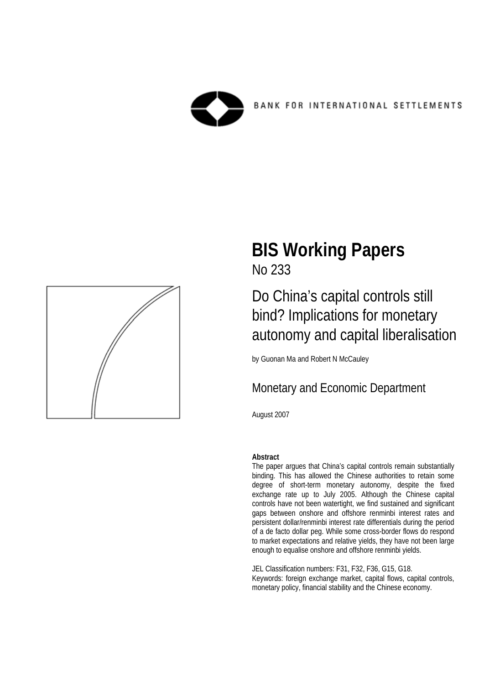



# **BIS Working Papers**

No 233

## Do China's capital controls still bind? Implications for monetary autonomy and capital liberalisation

by Guonan Ma and Robert N McCauley

## Monetary and Economic Department

August 2007

#### **Abstract**

The paper argues that China's capital controls remain substantially binding. This has allowed the Chinese authorities to retain some degree of short-term monetary autonomy, despite the fixed exchange rate up to July 2005. Although the Chinese capital controls have not been watertight, we find sustained and significant gaps between onshore and offshore renminbi interest rates and persistent dollar/renminbi interest rate differentials during the period of a de facto dollar peg. While some cross-border flows do respond to market expectations and relative yields, they have not been large enough to equalise onshore and offshore renminbi yields.

JEL Classification numbers: F31, F32, F36, G15, G18. Keywords: foreign exchange market, capital flows, capital controls, monetary policy, financial stability and the Chinese economy.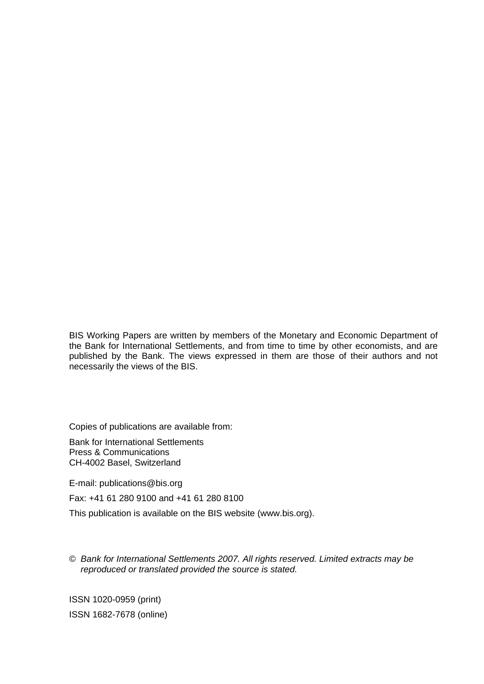BIS Working Papers are written by members of the Monetary and Economic Department of the Bank for International Settlements, and from time to time by other economists, and are published by the Bank. The views expressed in them are those of their authors and not necessarily the views of the BIS.

Copies of publications are available from:

Bank for International Settlements Press & Communications CH-4002 Basel, Switzerland

E-mail: publications@bis.org

Fax: +41 61 280 9100 and +41 61 280 8100

This publication is available on the BIS website (www.bis.org).

© *Bank for International Settlements 2007. All rights reserved. Limited extracts may be reproduced or translated provided the source is stated.* 

ISSN 1020-0959 (print) ISSN 1682-7678 (online)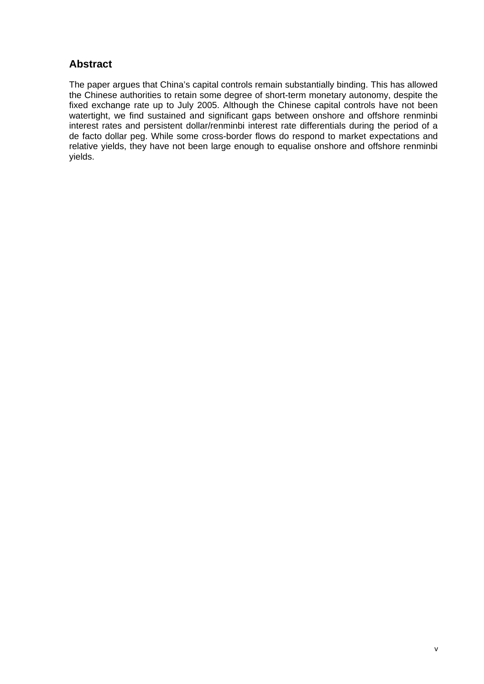## **Abstract**

The paper argues that China's capital controls remain substantially binding. This has allowed the Chinese authorities to retain some degree of short-term monetary autonomy, despite the fixed exchange rate up to July 2005. Although the Chinese capital controls have not been watertight, we find sustained and significant gaps between onshore and offshore renminbi interest rates and persistent dollar/renminbi interest rate differentials during the period of a de facto dollar peg. While some cross-border flows do respond to market expectations and relative yields, they have not been large enough to equalise onshore and offshore renminbi yields.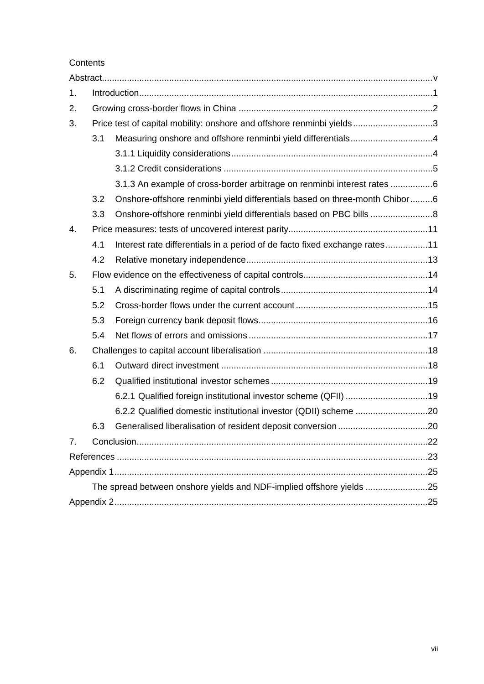**Contents** 

| 1. |                                                                       |                                                                            |  |  |  |  |
|----|-----------------------------------------------------------------------|----------------------------------------------------------------------------|--|--|--|--|
| 2. |                                                                       |                                                                            |  |  |  |  |
| 3. | Price test of capital mobility: onshore and offshore renminbi yields3 |                                                                            |  |  |  |  |
|    | 3.1                                                                   |                                                                            |  |  |  |  |
|    |                                                                       |                                                                            |  |  |  |  |
|    |                                                                       |                                                                            |  |  |  |  |
|    |                                                                       | 3.1.3 An example of cross-border arbitrage on renminbi interest rates 6    |  |  |  |  |
|    | 3.2                                                                   | Onshore-offshore renminbi yield differentials based on three-month Chibor6 |  |  |  |  |
|    | 3.3                                                                   |                                                                            |  |  |  |  |
| 4. |                                                                       |                                                                            |  |  |  |  |
|    | 4.1                                                                   | Interest rate differentials in a period of de facto fixed exchange rates11 |  |  |  |  |
|    | 4.2                                                                   |                                                                            |  |  |  |  |
| 5. |                                                                       |                                                                            |  |  |  |  |
|    | 5.1                                                                   |                                                                            |  |  |  |  |
|    | 5.2                                                                   |                                                                            |  |  |  |  |
|    | 5.3                                                                   |                                                                            |  |  |  |  |
|    | 5.4                                                                   |                                                                            |  |  |  |  |
| 6. |                                                                       |                                                                            |  |  |  |  |
|    | 6.1                                                                   |                                                                            |  |  |  |  |
|    | 6.2                                                                   |                                                                            |  |  |  |  |
|    |                                                                       | 6.2.1 Qualified foreign institutional investor scheme (QFII) 19            |  |  |  |  |
|    |                                                                       | 6.2.2 Qualified domestic institutional investor (QDII) scheme 20           |  |  |  |  |
|    | 6.3                                                                   |                                                                            |  |  |  |  |
| 7. |                                                                       |                                                                            |  |  |  |  |
|    |                                                                       |                                                                            |  |  |  |  |
|    |                                                                       |                                                                            |  |  |  |  |
|    | The spread between onshore yields and NDF-implied offshore yields 25  |                                                                            |  |  |  |  |
|    |                                                                       |                                                                            |  |  |  |  |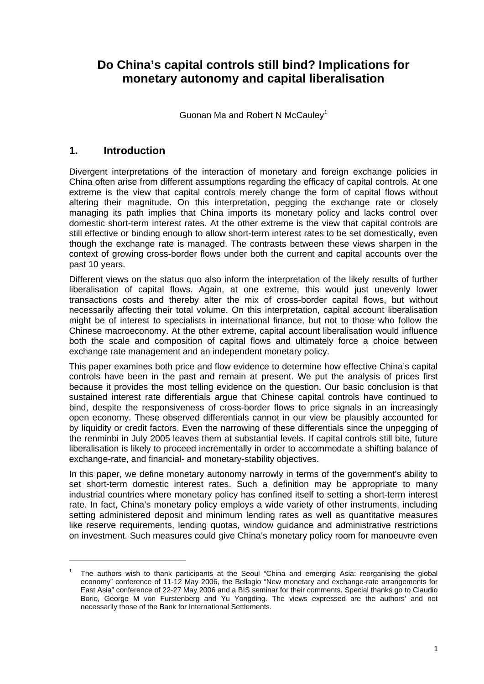## **Do China's capital controls still bind? Implications for monetary autonomy and capital liberalisation**

Guonan Ma and Robert N McCauley<sup>1</sup>

## **1. Introduction**

-

Divergent interpretations of the interaction of monetary and foreign exchange policies in China often arise from different assumptions regarding the efficacy of capital controls. At one extreme is the view that capital controls merely change the form of capital flows without altering their magnitude. On this interpretation, pegging the exchange rate or closely managing its path implies that China imports its monetary policy and lacks control over domestic short-term interest rates. At the other extreme is the view that capital controls are still effective or binding enough to allow short-term interest rates to be set domestically, even though the exchange rate is managed. The contrasts between these views sharpen in the context of growing cross-border flows under both the current and capital accounts over the past 10 years.

Different views on the status quo also inform the interpretation of the likely results of further liberalisation of capital flows. Again, at one extreme, this would just unevenly lower transactions costs and thereby alter the mix of cross-border capital flows, but without necessarily affecting their total volume. On this interpretation, capital account liberalisation might be of interest to specialists in international finance, but not to those who follow the Chinese macroeconomy. At the other extreme, capital account liberalisation would influence both the scale and composition of capital flows and ultimately force a choice between exchange rate management and an independent monetary policy.

This paper examines both price and flow evidence to determine how effective China's capital controls have been in the past and remain at present. We put the analysis of prices first because it provides the most telling evidence on the question. Our basic conclusion is that sustained interest rate differentials argue that Chinese capital controls have continued to bind, despite the responsiveness of cross-border flows to price signals in an increasingly open economy. These observed differentials cannot in our view be plausibly accounted for by liquidity or credit factors. Even the narrowing of these differentials since the unpegging of the renminbi in July 2005 leaves them at substantial levels. If capital controls still bite, future liberalisation is likely to proceed incrementally in order to accommodate a shifting balance of exchange-rate, and financial- and monetary-stability objectives.

In this paper, we define monetary autonomy narrowly in terms of the government's ability to set short-term domestic interest rates. Such a definition may be appropriate to many industrial countries where monetary policy has confined itself to setting a short-term interest rate. In fact, China's monetary policy employs a wide variety of other instruments, including setting administered deposit and minimum lending rates as well as quantitative measures like reserve requirements, lending quotas, window guidance and administrative restrictions on investment. Such measures could give China's monetary policy room for manoeuvre even

<sup>1</sup> The authors wish to thank participants at the Seoul "China and emerging Asia: reorganising the global economy" conference of 11-12 May 2006, the Bellagio "New monetary and exchange-rate arrangements for East Asia" conference of 22-27 May 2006 and a BIS seminar for their comments. Special thanks go to Claudio Borio, George M von Furstenberg and Yu Yongding. The views expressed are the authors' and not necessarily those of the Bank for International Settlements.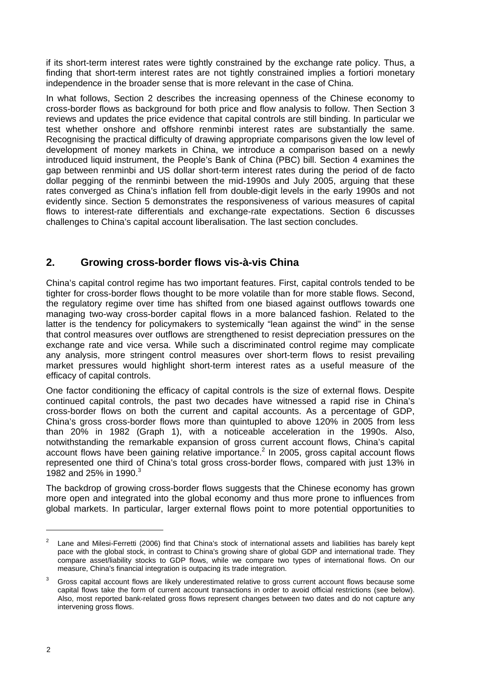if its short-term interest rates were tightly constrained by the exchange rate policy. Thus, a finding that short-term interest rates are not tightly constrained implies a fortiori monetary independence in the broader sense that is more relevant in the case of China.

In what follows, Section 2 describes the increasing openness of the Chinese economy to cross-border flows as background for both price and flow analysis to follow. Then Section 3 reviews and updates the price evidence that capital controls are still binding. In particular we test whether onshore and offshore renminbi interest rates are substantially the same. Recognising the practical difficulty of drawing appropriate comparisons given the low level of development of money markets in China, we introduce a comparison based on a newly introduced liquid instrument, the People's Bank of China (PBC) bill. Section 4 examines the gap between renminbi and US dollar short-term interest rates during the period of de facto dollar pegging of the renminbi between the mid-1990s and July 2005, arguing that these rates converged as China's inflation fell from double-digit levels in the early 1990s and not evidently since. Section 5 demonstrates the responsiveness of various measures of capital flows to interest-rate differentials and exchange-rate expectations. Section 6 discusses challenges to China's capital account liberalisation. The last section concludes.

## **2. Growing cross-border flows vis-à-vis China**

China's capital control regime has two important features. First, capital controls tended to be tighter for cross-border flows thought to be more volatile than for more stable flows. Second, the regulatory regime over time has shifted from one biased against outflows towards one managing two-way cross-border capital flows in a more balanced fashion. Related to the latter is the tendency for policymakers to systemically "lean against the wind" in the sense that control measures over outflows are strengthened to resist depreciation pressures on the exchange rate and vice versa. While such a discriminated control regime may complicate any analysis, more stringent control measures over short-term flows to resist prevailing market pressures would highlight short-term interest rates as a useful measure of the efficacy of capital controls.

One factor conditioning the efficacy of capital controls is the size of external flows. Despite continued capital controls, the past two decades have witnessed a rapid rise in China's cross-border flows on both the current and capital accounts. As a percentage of GDP, China's gross cross-border flows more than quintupled to above 120% in 2005 from less than 20% in 1982 (Graph 1), with a noticeable acceleration in the 1990s. Also, notwithstanding the remarkable expansion of gross current account flows, China's capital account flows have been gaining relative importance.<sup>2</sup> In 2005, gross capital account flows represented one third of China's total gross cross-border flows, compared with just 13% in 1982 and 25% in 1990.<sup>3</sup> i.

The backdrop of growing cross-border flows suggests that the Chinese economy has grown more open and integrated into the global economy and thus more prone to influences from global markets. In particular, larger external flows point to more potential opportunities to

 $\overline{a}$ 

<sup>2</sup> Lane and Milesi-Ferretti (2006) find that China's stock of international assets and liabilities has barely kept pace with the global stock, in contrast to China's growing share of global GDP and international trade. They compare asset/liability stocks to GDP flows, while we compare two types of international flows. On our measure, China's financial integration is outpacing its trade integration.

<sup>3</sup> Gross capital account flows are likely underestimated relative to gross current account flows because some capital flows take the form of current account transactions in order to avoid official restrictions (see below). Also, most reported bank-related gross flows represent changes between two dates and do not capture any intervening gross flows.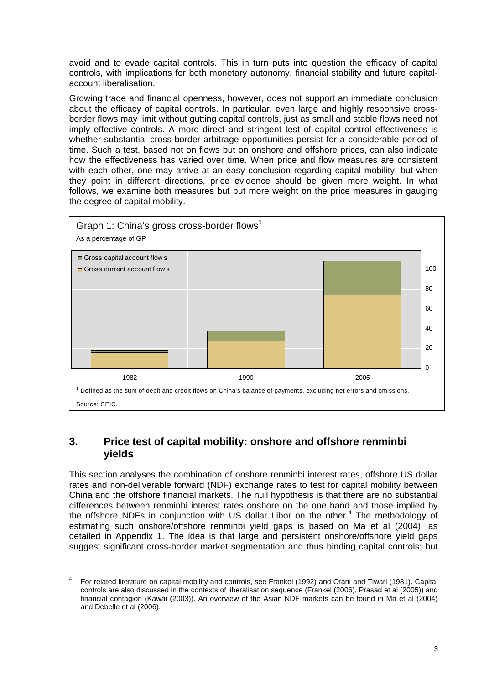avoid and to evade capital controls. This in turn puts into question the efficacy of capital controls, with implications for both monetary autonomy, financial stability and future capitalaccount liberalisation.

Growing trade and financial openness, however, does not support an immediate conclusion about the efficacy of capital controls. In particular, even large and highly responsive crossborder flows may limit without gutting capital controls, just as small and stable flows need not imply effective controls. A more direct and stringent test of capital control effectiveness is whether substantial cross-border arbitrage opportunities persist for a considerable period of time. Such a test, based not on flows but on onshore and offshore prices, can also indicate how the effectiveness has varied over time. When price and flow measures are consistent with each other, one may arrive at an easy conclusion regarding capital mobility, but when they point in different directions, price evidence should be given more weight. In what follows, we examine both measures but put more weight on the price measures in gauging the degree of capital mobility.



## **3. Price test of capital mobility: onshore and offshore renminbi yields**

This section analyses the combination of onshore renminbi interest rates, offshore US dollar rates and non-deliverable forward (NDF) exchange rates to test for capital mobility between China and the offshore financial markets. The null hypothesis is that there are no substantial differences between renminbi interest rates onshore on the one hand and those implied by the offshore NDFs in conjunction with US dollar Libor on the other. $4$  The methodology of estimating such onshore/offshore renminbi yield gaps is based on Ma et al (2004), as detailed in Appendix 1. The idea is that large and persistent onshore/offshore yield gaps suggest significant cross-border market segmentation and thus binding capital controls; but

<sup>4</sup> For related literature on capital mobility and controls, see Frankel (1992) and Otani and Tiwari (1981). Capital controls are also discussed in the contexts of liberalisation sequence (Frankel (2006), Prasad et al (2005)) and financial contagion (Kawai (2003)). An overview of the Asian NDF markets can be found in Ma et al (2004) and Debelle et al (2006).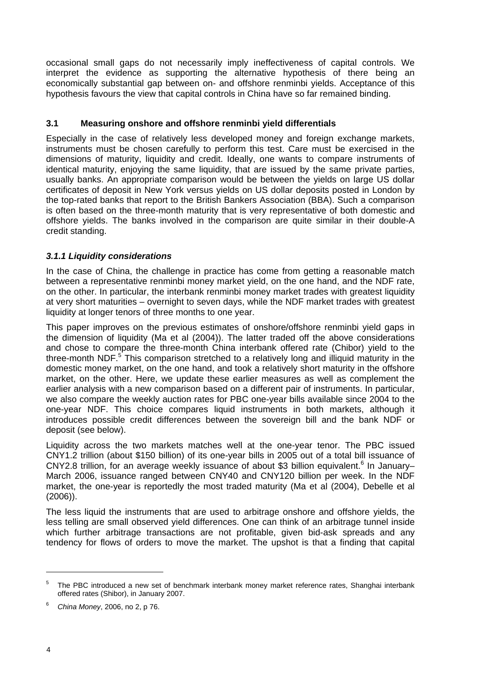occasional small gaps do not necessarily imply ineffectiveness of capital controls. We interpret the evidence as supporting the alternative hypothesis of there being an economically substantial gap between on- and offshore renminbi yields. Acceptance of this hypothesis favours the view that capital controls in China have so far remained binding.

#### **3.1 Measuring onshore and offshore renminbi yield differentials**

Especially in the case of relatively less developed money and foreign exchange markets, instruments must be chosen carefully to perform this test. Care must be exercised in the dimensions of maturity, liquidity and credit. Ideally, one wants to compare instruments of identical maturity, enjoying the same liquidity, that are issued by the same private parties, usually banks. An appropriate comparison would be between the yields on large US dollar certificates of deposit in New York versus yields on US dollar deposits posted in London by the top-rated banks that report to the British Bankers Association (BBA). Such a comparison is often based on the three-month maturity that is very representative of both domestic and offshore yields. The banks involved in the comparison are quite similar in their double-A credit standing.

## *3.1.1 Liquidity considerations*

In the case of China, the challenge in practice has come from getting a reasonable match between a representative renminbi money market yield, on the one hand, and the NDF rate, on the other. In particular, the interbank renminbi money market trades with greatest liquidity at very short maturities – overnight to seven days, while the NDF market trades with greatest liquidity at longer tenors of three months to one year.

This paper improves on the previous estimates of onshore/offshore renminbi yield gaps in the dimension of liquidity (Ma et al (2004)). The latter traded off the above considerations and chose to compare the three-month China interbank offered rate (Chibor) yield to the three-month NDF.<sup>5</sup> This comparison stretched to a relatively long and illiquid maturity in the domestic money market, on the one hand, and took a relatively short maturity in the offshore market, on the other. Here, we update these earlier measures as well as complement the earlier analysis with a new comparison based on a different pair of instruments. In particular, we also compare the weekly auction rates for PBC one-year bills available since 2004 to the one-year NDF. This choice compares liquid instruments in both markets, although it introduces possible credit differences between the sovereign bill and the bank NDF or deposit (see below).

Liquidity across the two markets matches well at the one-year tenor. The PBC issued CNY1.2 trillion (about \$150 billion) of its one-year bills in 2005 out of a total bill issuance of CNY2.8 trillion, for an average weekly issuance of about \$3 billion equivalent.<sup>6</sup> In January-March 2006, issuance ranged between CNY40 and CNY120 billion per week. In the NDF market, the one-year is reportedly the most traded maturity (Ma et al (2004), Debelle et al (2006)).

The less liquid the instruments that are used to arbitrage onshore and offshore yields, the less telling are small observed yield differences. One can think of an arbitrage tunnel inside which further arbitrage transactions are not profitable, given bid-ask spreads and any tendency for flows of orders to move the market. The upshot is that a finding that capital

<sup>5</sup> The PBC introduced a new set of benchmark interbank money market reference rates, Shanghai interbank offered rates (Shibor), in January 2007.

<sup>6</sup> *China Money*, 2006, no 2, p 76.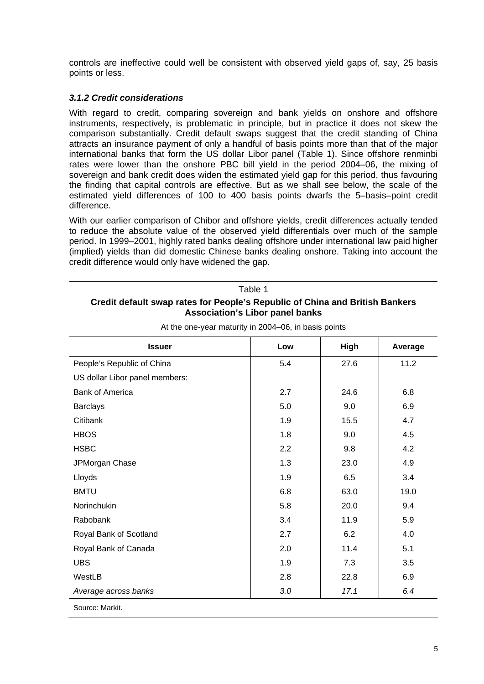controls are ineffective could well be consistent with observed yield gaps of, say, 25 basis points or less.

## *3.1.2 Credit considerations*

With regard to credit, comparing sovereign and bank yields on onshore and offshore instruments, respectively, is problematic in principle, but in practice it does not skew the comparison substantially. Credit default swaps suggest that the credit standing of China attracts an insurance payment of only a handful of basis points more than that of the major international banks that form the US dollar Libor panel (Table 1). Since offshore renminbi rates were lower than the onshore PBC bill yield in the period 2004–06, the mixing of sovereign and bank credit does widen the estimated yield gap for this period, thus favouring the finding that capital controls are effective. But as we shall see below, the scale of the estimated yield differences of 100 to 400 basis points dwarfs the 5–basis–point credit difference.

With our earlier comparison of Chibor and offshore yields, credit differences actually tended to reduce the absolute value of the observed yield differentials over much of the sample period. In 1999–2001, highly rated banks dealing offshore under international law paid higher (implied) yields than did domestic Chinese banks dealing onshore. Taking into account the credit difference would only have widened the gap.

## Table 1 **Credit default swap rates for People's Republic of China and British Bankers Association's Libor panel banks**

| <b>Issuer</b>                  | Low | <b>High</b> | Average |
|--------------------------------|-----|-------------|---------|
| People's Republic of China     | 5.4 | 27.6        | 11.2    |
| US dollar Libor panel members: |     |             |         |
| <b>Bank of America</b>         | 2.7 | 24.6        | 6.8     |
| <b>Barclays</b>                | 5.0 | 9.0         | 6.9     |
| Citibank                       | 1.9 | 15.5        | 4.7     |
| <b>HBOS</b>                    | 1.8 | 9.0         | 4.5     |
| <b>HSBC</b>                    | 2.2 | 9.8         | 4.2     |
| JPMorgan Chase                 | 1.3 | 23.0        | 4.9     |
| Lloyds                         | 1.9 | 6.5         | 3.4     |
| <b>BMTU</b>                    | 6.8 | 63.0        | 19.0    |
| Norinchukin                    | 5.8 | 20.0        | 9.4     |
| Rabobank                       | 3.4 | 11.9        | 5.9     |
| Royal Bank of Scotland         | 2.7 | 6.2         | 4.0     |
| Royal Bank of Canada           | 2.0 | 11.4        | 5.1     |
| <b>UBS</b>                     | 1.9 | 7.3         | 3.5     |
| WestLB                         | 2.8 | 22.8        | 6.9     |
| Average across banks           | 3.0 | 17.1        | 6.4     |
| Source: Markit.                |     |             |         |

At the one-year maturity in 2004–06, in basis points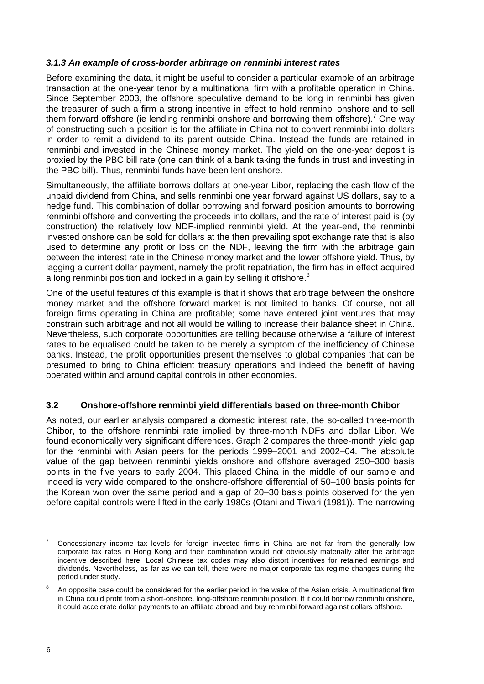#### *3.1.3 An example of cross-border arbitrage on renminbi interest rates*

Before examining the data, it might be useful to consider a particular example of an arbitrage transaction at the one-year tenor by a multinational firm with a profitable operation in China. Since September 2003, the offshore speculative demand to be long in renminbi has given the treasurer of such a firm a strong incentive in effect to hold renminbi onshore and to sell them forward offshore (ie lending renminbi onshore and borrowing them offshore).<sup>7</sup> One way of constructing such a position is for the affiliate in China not to convert renminbi into dollars in order to remit a dividend to its parent outside China. Instead the funds are retained in renminbi and invested in the Chinese money market. The yield on the one-year deposit is proxied by the PBC bill rate (one can think of a bank taking the funds in trust and investing in the PBC bill). Thus, renminbi funds have been lent onshore.

Simultaneously, the affiliate borrows dollars at one-year Libor, replacing the cash flow of the unpaid dividend from China, and sells renminbi one year forward against US dollars, say to a hedge fund. This combination of dollar borrowing and forward position amounts to borrowing renminbi offshore and converting the proceeds into dollars, and the rate of interest paid is (by construction) the relatively low NDF-implied renminbi yield. At the year-end, the renminbi invested onshore can be sold for dollars at the then prevailing spot exchange rate that is also used to determine any profit or loss on the NDF, leaving the firm with the arbitrage gain between the interest rate in the Chinese money market and the lower offshore yield. Thus, by lagging a current dollar payment, namely the profit repatriation, the firm has in effect acquired a long renminbi position and locked in a gain by selling it offshore. $8$ 

One of the useful features of this example is that it shows that arbitrage between the onshore money market and the offshore forward market is not limited to banks. Of course, not all foreign firms operating in China are profitable; some have entered joint ventures that may constrain such arbitrage and not all would be willing to increase their balance sheet in China. Nevertheless, such corporate opportunities are telling because otherwise a failure of interest rates to be equalised could be taken to be merely a symptom of the inefficiency of Chinese banks. Instead, the profit opportunities present themselves to global companies that can be presumed to bring to China efficient treasury operations and indeed the benefit of having operated within and around capital controls in other economies.

#### **3.2 Onshore-offshore renminbi yield differentials based on three-month Chibor**

As noted, our earlier analysis compared a domestic interest rate, the so-called three-month Chibor, to the offshore renminbi rate implied by three-month NDFs and dollar Libor. We found economically very significant differences. Graph 2 compares the three-month yield gap for the renminbi with Asian peers for the periods 1999–2001 and 2002–04. The absolute value of the gap between renminbi yields onshore and offshore averaged 250–300 basis points in the five years to early 2004. This placed China in the middle of our sample and indeed is very wide compared to the onshore-offshore differential of 50–100 basis points for the Korean won over the same period and a gap of 20–30 basis points observed for the yen before capital controls were lifted in the early 1980s (Otani and Tiwari (1981)). The narrowing

 $\overline{a}$ 

<sup>7</sup> Concessionary income tax levels for foreign invested firms in China are not far from the generally low corporate tax rates in Hong Kong and their combination would not obviously materially alter the arbitrage incentive described here. Local Chinese tax codes may also distort incentives for retained earnings and dividends. Nevertheless, as far as we can tell, there were no major corporate tax regime changes during the period under study.

<sup>8</sup> An opposite case could be considered for the earlier period in the wake of the Asian crisis. A multinational firm in China could profit from a short-onshore, long-offshore renminbi position. If it could borrow renminbi onshore, it could accelerate dollar payments to an affiliate abroad and buy renminbi forward against dollars offshore.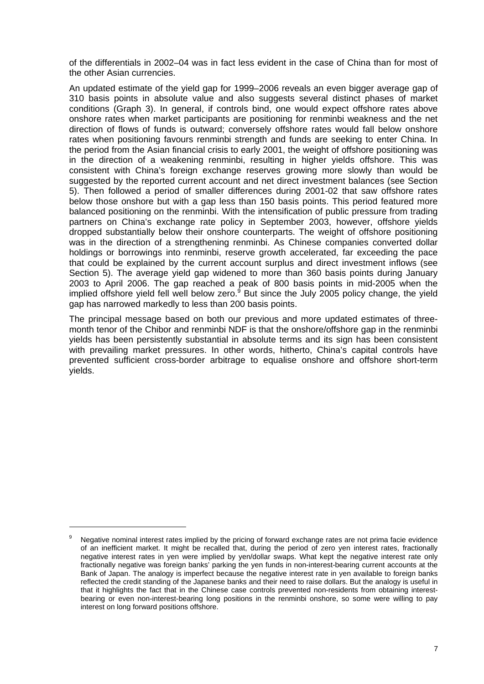of the differentials in 2002–04 was in fact less evident in the case of China than for most of the other Asian currencies.

An updated estimate of the yield gap for 1999–2006 reveals an even bigger average gap of 310 basis points in absolute value and also suggests several distinct phases of market conditions (Graph 3). In general, if controls bind, one would expect offshore rates above onshore rates when market participants are positioning for renminbi weakness and the net direction of flows of funds is outward; conversely offshore rates would fall below onshore rates when positioning favours renminbi strength and funds are seeking to enter China. In the period from the Asian financial crisis to early 2001, the weight of offshore positioning was in the direction of a weakening renminbi, resulting in higher yields offshore. This was consistent with China's foreign exchange reserves growing more slowly than would be suggested by the reported current account and net direct investment balances (see Section 5). Then followed a period of smaller differences during 2001-02 that saw offshore rates below those onshore but with a gap less than 150 basis points. This period featured more balanced positioning on the renminbi. With the intensification of public pressure from trading partners on China's exchange rate policy in September 2003, however, offshore yields dropped substantially below their onshore counterparts. The weight of offshore positioning was in the direction of a strengthening renminbi. As Chinese companies converted dollar holdings or borrowings into renminbi, reserve growth accelerated, far exceeding the pace that could be explained by the current account surplus and direct investment inflows (see Section 5). The average yield gap widened to more than 360 basis points during January 2003 to April 2006. The gap reached a peak of 800 basis points in mid-2005 when the implied offshore yield fell well below zero.<sup>9</sup> But since the July 2005 policy change, the yield gap has narrowed markedly to less than 200 basis points.

The principal message based on both our previous and more updated estimates of threemonth tenor of the Chibor and renminbi NDF is that the onshore/offshore gap in the renminbi yields has been persistently substantial in absolute terms and its sign has been consistent with prevailing market pressures. In other words, hitherto, China's capital controls have prevented sufficient cross-border arbitrage to equalise onshore and offshore short-term yields.

<sup>9</sup> Negative nominal interest rates implied by the pricing of forward exchange rates are not prima facie evidence of an inefficient market. It might be recalled that, during the period of zero yen interest rates, fractionally negative interest rates in yen were implied by yen/dollar swaps. What kept the negative interest rate only fractionally negative was foreign banks' parking the yen funds in non-interest-bearing current accounts at the Bank of Japan. The analogy is imperfect because the negative interest rate in yen available to foreign banks reflected the credit standing of the Japanese banks and their need to raise dollars. But the analogy is useful in that it highlights the fact that in the Chinese case controls prevented non-residents from obtaining interestbearing or even non-interest-bearing long positions in the renminbi onshore, so some were willing to pay interest on long forward positions offshore.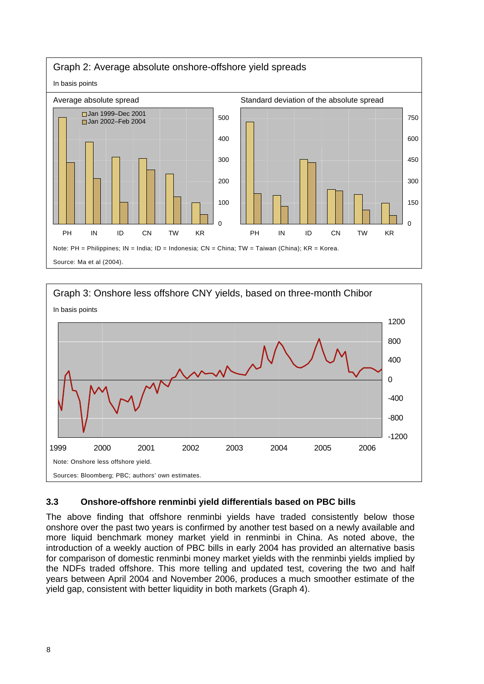



## **3.3 Onshore-offshore renminbi yield differentials based on PBC bills**

The above finding that offshore renminbi yields have traded consistently below those onshore over the past two years is confirmed by another test based on a newly available and more liquid benchmark money market yield in renminbi in China. As noted above, the introduction of a weekly auction of PBC bills in early 2004 has provided an alternative basis for comparison of domestic renminbi money market yields with the renminbi yields implied by the NDFs traded offshore. This more telling and updated test, covering the two and half years between April 2004 and November 2006, produces a much smoother estimate of the yield gap, consistent with better liquidity in both markets (Graph 4).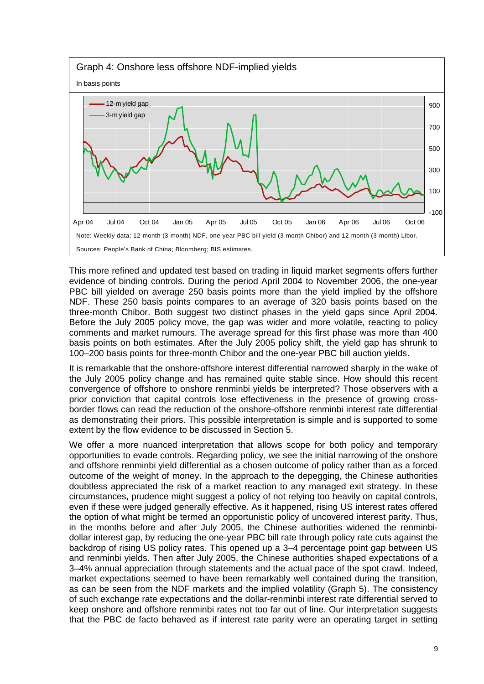

This more refined and updated test based on trading in liquid market segments offers further evidence of binding controls. During the period April 2004 to November 2006, the one-year PBC bill yielded on average 250 basis points more than the yield implied by the offshore NDF. These 250 basis points compares to an average of 320 basis points based on the three-month Chibor. Both suggest two distinct phases in the yield gaps since April 2004. Before the July 2005 policy move, the gap was wider and more volatile, reacting to policy comments and market rumours. The average spread for this first phase was more than 400 basis points on both estimates. After the July 2005 policy shift, the yield gap has shrunk to 100–200 basis points for three-month Chibor and the one-year PBC bill auction yields.

It is remarkable that the onshore-offshore interest differential narrowed sharply in the wake of the July 2005 policy change and has remained quite stable since. How should this recent convergence of offshore to onshore renminbi yields be interpreted? Those observers with a prior conviction that capital controls lose effectiveness in the presence of growing crossborder flows can read the reduction of the onshore-offshore renminbi interest rate differential as demonstrating their priors. This possible interpretation is simple and is supported to some extent by the flow evidence to be discussed in Section 5.

We offer a more nuanced interpretation that allows scope for both policy and temporary opportunities to evade controls. Regarding policy, we see the initial narrowing of the onshore and offshore renminbi yield differential as a chosen outcome of policy rather than as a forced outcome of the weight of money. In the approach to the depegging, the Chinese authorities doubtless appreciated the risk of a market reaction to any managed exit strategy. In these circumstances, prudence might suggest a policy of not relying too heavily on capital controls, even if these were judged generally effective. As it happened, rising US interest rates offered the option of what might be termed an opportunistic policy of uncovered interest parity. Thus, in the months before and after July 2005, the Chinese authorities widened the renminbidollar interest gap, by reducing the one-year PBC bill rate through policy rate cuts against the backdrop of rising US policy rates. This opened up a 3–4 percentage point gap between US and renminbi yields. Then after July 2005, the Chinese authorities shaped expectations of a 3–4% annual appreciation through statements and the actual pace of the spot crawl. Indeed, market expectations seemed to have been remarkably well contained during the transition, as can be seen from the NDF markets and the implied volatility (Graph 5). The consistency of such exchange rate expectations and the dollar-renminbi interest rate differential served to keep onshore and offshore renminbi rates not too far out of line. Our interpretation suggests that the PBC de facto behaved as if interest rate parity were an operating target in setting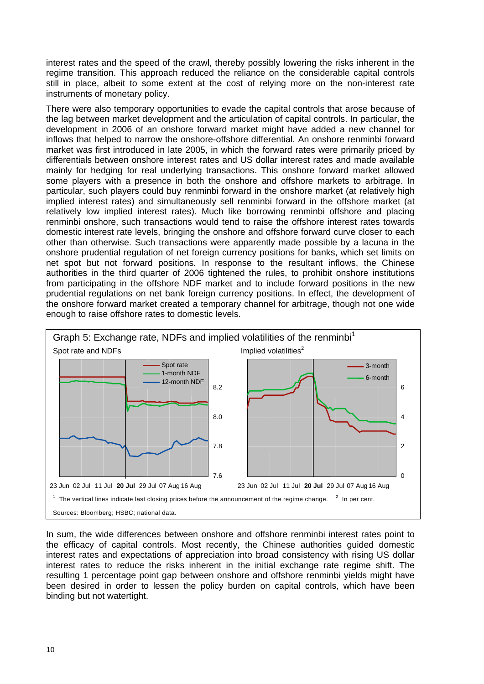interest rates and the speed of the crawl, thereby possibly lowering the risks inherent in the regime transition. This approach reduced the reliance on the considerable capital controls still in place, albeit to some extent at the cost of relying more on the non-interest rate instruments of monetary policy.

There were also temporary opportunities to evade the capital controls that arose because of the lag between market development and the articulation of capital controls. In particular, the development in 2006 of an onshore forward market might have added a new channel for inflows that helped to narrow the onshore-offshore differential. An onshore renminbi forward market was first introduced in late 2005, in which the forward rates were primarily priced by differentials between onshore interest rates and US dollar interest rates and made available mainly for hedging for real underlying transactions. This onshore forward market allowed some players with a presence in both the onshore and offshore markets to arbitrage. In particular, such players could buy renminbi forward in the onshore market (at relatively high implied interest rates) and simultaneously sell renminbi forward in the offshore market (at relatively low implied interest rates). Much like borrowing renminbi offshore and placing renminbi onshore, such transactions would tend to raise the offshore interest rates towards domestic interest rate levels, bringing the onshore and offshore forward curve closer to each other than otherwise. Such transactions were apparently made possible by a lacuna in the onshore prudential regulation of net foreign currency positions for banks, which set limits on net spot but not forward positions. In response to the resultant inflows, the Chinese authorities in the third quarter of 2006 tightened the rules, to prohibit onshore institutions from participating in the offshore NDF market and to include forward positions in the new prudential regulations on net bank foreign currency positions. In effect, the development of the onshore forward market created a temporary channel for arbitrage, though not one wide enough to raise offshore rates to domestic levels.



In sum, the wide differences between onshore and offshore renminbi interest rates point to the efficacy of capital controls. Most recently, the Chinese authorities guided domestic interest rates and expectations of appreciation into broad consistency with rising US dollar interest rates to reduce the risks inherent in the initial exchange rate regime shift. The resulting 1 percentage point gap between onshore and offshore renminbi yields might have been desired in order to lessen the policy burden on capital controls, which have been binding but not watertight.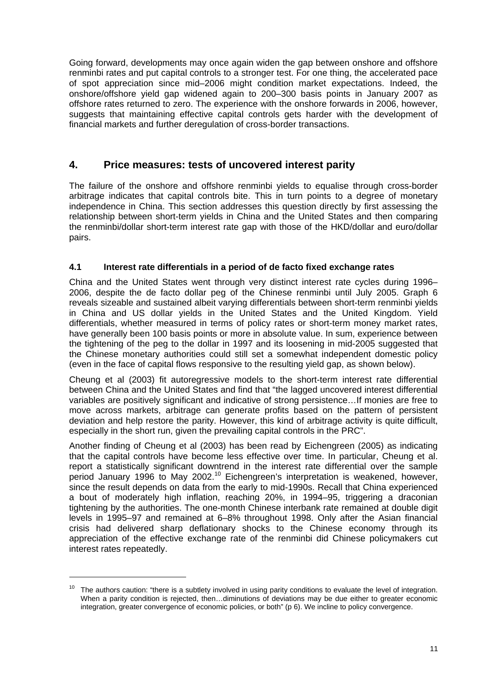Going forward, developments may once again widen the gap between onshore and offshore renminbi rates and put capital controls to a stronger test. For one thing, the accelerated pace of spot appreciation since mid–2006 might condition market expectations. Indeed, the onshore/offshore yield gap widened again to 200–300 basis points in January 2007 as offshore rates returned to zero. The experience with the onshore forwards in 2006, however, suggests that maintaining effective capital controls gets harder with the development of financial markets and further deregulation of cross-border transactions.

## **4. Price measures: tests of uncovered interest parity**

The failure of the onshore and offshore renminbi yields to equalise through cross-border arbitrage indicates that capital controls bite. This in turn points to a degree of monetary independence in China. This section addresses this question directly by first assessing the relationship between short-term yields in China and the United States and then comparing the renminbi/dollar short-term interest rate gap with those of the HKD/dollar and euro/dollar pairs.

## **4.1 Interest rate differentials in a period of de facto fixed exchange rates**

China and the United States went through very distinct interest rate cycles during 1996– 2006, despite the de facto dollar peg of the Chinese renminbi until July 2005. Graph 6 reveals sizeable and sustained albeit varying differentials between short-term renminbi yields in China and US dollar yields in the United States and the United Kingdom. Yield differentials, whether measured in terms of policy rates or short-term money market rates, have generally been 100 basis points or more in absolute value. In sum, experience between the tightening of the peg to the dollar in 1997 and its loosening in mid-2005 suggested that the Chinese monetary authorities could still set a somewhat independent domestic policy (even in the face of capital flows responsive to the resulting yield gap, as shown below).

Cheung et al (2003) fit autoregressive models to the short-term interest rate differential between China and the United States and find that "the lagged uncovered interest differential variables are positively significant and indicative of strong persistence…If monies are free to move across markets, arbitrage can generate profits based on the pattern of persistent deviation and help restore the parity. However, this kind of arbitrage activity is quite difficult, especially in the short run, given the prevailing capital controls in the PRC".

Another finding of Cheung et al (2003) has been read by Eichengreen (2005) as indicating that the capital controls have become less effective over time. In particular, Cheung et al. report a statistically significant downtrend in the interest rate differential over the sample period January 1996 to May 2002.<sup>10</sup> Eichengreen's interpretation is weakened, however, since the result depends on data from the early to mid-1990s. Recall that China experienced a bout of moderately high inflation, reaching 20%, in 1994–95, triggering a draconian tightening by the authorities. The one-month Chinese interbank rate remained at double digit levels in 1995–97 and remained at 6–8% throughout 1998. Only after the Asian financial crisis had delivered sharp deflationary shocks to the Chinese economy through its appreciation of the effective exchange rate of the renminbi did Chinese policymakers cut interest rates repeatedly.

 $10$  The authors caution: "there is a subtlety involved in using parity conditions to evaluate the level of integration. When a parity condition is rejected, then...diminutions of deviations may be due either to greater economic integration, greater convergence of economic policies, or both" (p 6). We incline to policy convergence.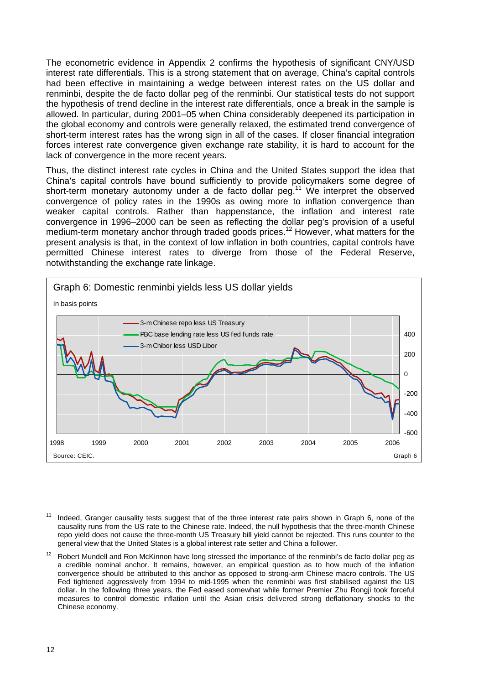The econometric evidence in Appendix 2 confirms the hypothesis of significant CNY/USD interest rate differentials. This is a strong statement that on average, China's capital controls had been effective in maintaining a wedge between interest rates on the US dollar and renminbi, despite the de facto dollar peg of the renminbi. Our statistical tests do not support the hypothesis of trend decline in the interest rate differentials, once a break in the sample is allowed. In particular, during 2001–05 when China considerably deepened its participation in the global economy and controls were generally relaxed, the estimated trend convergence of short-term interest rates has the wrong sign in all of the cases. If closer financial integration forces interest rate convergence given exchange rate stability, it is hard to account for the lack of convergence in the more recent years.

Thus, the distinct interest rate cycles in China and the United States support the idea that China's capital controls have bound sufficiently to provide policymakers some degree of short-term monetary autonomy under a de facto dollar peg.<sup>11</sup> We interpret the observed convergence of policy rates in the 1990s as owing more to inflation convergence than weaker capital controls. Rather than happenstance, the inflation and interest rate convergence in 1996–2000 can be seen as reflecting the dollar peg's provision of a useful medium-term monetary anchor through traded goods prices.<sup>12</sup> However, what matters for the present analysis is that, in the context of low inflation in both countries, capital controls have permitted Chinese interest rates to diverge from those of the Federal Reserve, notwithstanding the exchange rate linkage.



<sup>&</sup>lt;sup>11</sup> Indeed, Granger causality tests suggest that of the three interest rate pairs shown in Graph 6, none of the causality runs from the US rate to the Chinese rate. Indeed, the null hypothesis that the three-month Chinese repo yield does not cause the three-month US Treasury bill yield cannot be rejected. This runs counter to the general view that the United States is a global interest rate setter and China a follower.

<sup>12</sup> Robert Mundell and Ron McKinnon have long stressed the importance of the renminbi's de facto dollar peg as a credible nominal anchor. It remains, however, an empirical question as to how much of the inflation convergence should be attributed to this anchor as opposed to strong-arm Chinese macro controls. The US Fed tightened aggressively from 1994 to mid-1995 when the renminbi was first stabilised against the US dollar. In the following three years, the Fed eased somewhat while former Premier Zhu Rongji took forceful measures to control domestic inflation until the Asian crisis delivered strong deflationary shocks to the Chinese economy.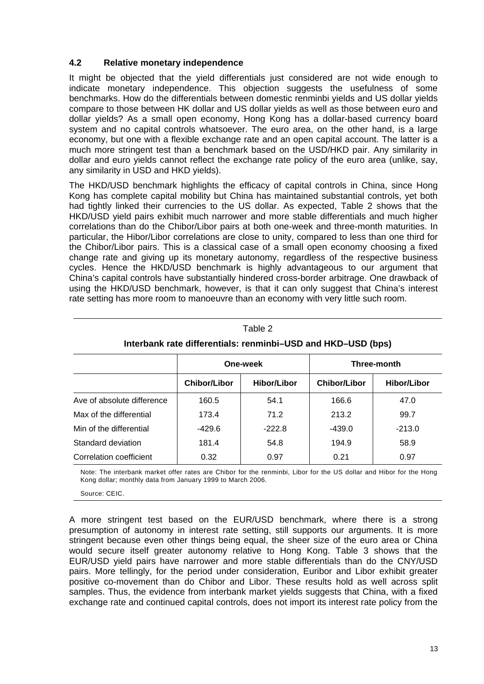## **4.2 Relative monetary independence**

It might be objected that the yield differentials just considered are not wide enough to indicate monetary independence. This objection suggests the usefulness of some benchmarks. How do the differentials between domestic renminbi yields and US dollar yields compare to those between HK dollar and US dollar yields as well as those between euro and dollar yields? As a small open economy, Hong Kong has a dollar-based currency board system and no capital controls whatsoever. The euro area, on the other hand, is a large economy, but one with a flexible exchange rate and an open capital account. The latter is a much more stringent test than a benchmark based on the USD/HKD pair. Any similarity in dollar and euro yields cannot reflect the exchange rate policy of the euro area (unlike, say, any similarity in USD and HKD yields).

The HKD/USD benchmark highlights the efficacy of capital controls in China, since Hong Kong has complete capital mobility but China has maintained substantial controls, yet both had tightly linked their currencies to the US dollar. As expected, Table 2 shows that the HKD/USD yield pairs exhibit much narrower and more stable differentials and much higher correlations than do the Chibor/Libor pairs at both one-week and three-month maturities. In particular, the Hibor/Libor correlations are close to unity, compared to less than one third for the Chibor/Libor pairs. This is a classical case of a small open economy choosing a fixed change rate and giving up its monetary autonomy, regardless of the respective business cycles. Hence the HKD/USD benchmark is highly advantageous to our argument that China's capital controls have substantially hindered cross-border arbitrage. One drawback of using the HKD/USD benchmark, however, is that it can only suggest that China's interest rate setting has more room to manoeuvre than an economy with very little such room.

|                            |                     | One-week    | Three-month         |                    |  |  |
|----------------------------|---------------------|-------------|---------------------|--------------------|--|--|
|                            | <b>Chibor/Libor</b> | Hibor/Libor | <b>Chibor/Libor</b> | <b>Hibor/Libor</b> |  |  |
| Ave of absolute difference | 160.5               | 54.1        | 166.6               | 47.0               |  |  |
| Max of the differential    | 173.4               | 71.2        | 213.2               | 99.7               |  |  |
| Min of the differential    | $-429.6$            | $-222.8$    | -439.0              | $-213.0$           |  |  |
| Standard deviation         | 181.4               | 54.8        | 194.9               | 58.9               |  |  |
| Correlation coefficient    | 0.32                | 0.97        | 0.21                | 0.97               |  |  |

## **Interbank rate differentials: renminbi–USD and HKD–USD (bps)**

Table 2

Note: The interbank market offer rates are Chibor for the renminbi, Libor for the US dollar and Hibor for the Hong Kong dollar; monthly data from January 1999 to March 2006.

Source: CEIC.

A more stringent test based on the EUR/USD benchmark, where there is a strong presumption of autonomy in interest rate setting, still supports our arguments. It is more stringent because even other things being equal, the sheer size of the euro area or China would secure itself greater autonomy relative to Hong Kong. Table 3 shows that the EUR/USD yield pairs have narrower and more stable differentials than do the CNY/USD pairs. More tellingly, for the period under consideration, Euribor and Libor exhibit greater positive co-movement than do Chibor and Libor. These results hold as well across split samples. Thus, the evidence from interbank market yields suggests that China, with a fixed exchange rate and continued capital controls, does not import its interest rate policy from the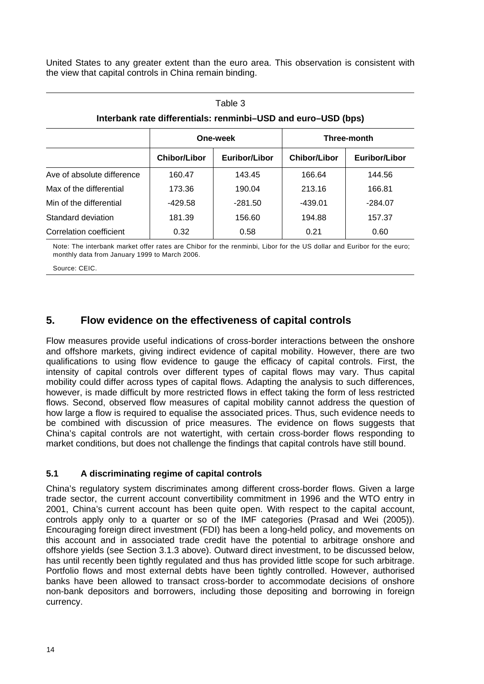United States to any greater extent than the euro area. This observation is consistent with the view that capital controls in China remain binding.

| Interbank rate differentials: renminbi-USD and euro-USD (bps) |              |               |              |               |  |  |
|---------------------------------------------------------------|--------------|---------------|--------------|---------------|--|--|
|                                                               |              | One-week      | Three-month  |               |  |  |
|                                                               | Chibor/Libor | Euribor/Libor | Chibor/Libor | Euribor/Libor |  |  |
| Ave of absolute difference                                    | 160.47       | 143.45        | 166.64       | 144.56        |  |  |
| Max of the differential                                       | 173.36       | 190.04        | 213.16       | 166.81        |  |  |
| Min of the differential                                       | $-429.58$    | $-281.50$     | $-439.01$    | $-284.07$     |  |  |
| Standard deviation                                            | 181.39       | 156.60        | 194.88       | 157.37        |  |  |
| Correlation coefficient                                       | 0.32         | 0.58          | 0.21         | 0.60          |  |  |

| Table 3                                                       |  |
|---------------------------------------------------------------|--|
| Interbank rate differentials: renminbi-USD and euro-USD (bps) |  |

Note: The interbank market offer rates are Chibor for the renminbi, Libor for the US dollar and Euribor for the euro; monthly data from January 1999 to March 2006.

Source: CEIC.

## **5. Flow evidence on the effectiveness of capital controls**

Flow measures provide useful indications of cross-border interactions between the onshore and offshore markets, giving indirect evidence of capital mobility. However, there are two qualifications to using flow evidence to gauge the efficacy of capital controls. First, the intensity of capital controls over different types of capital flows may vary. Thus capital mobility could differ across types of capital flows. Adapting the analysis to such differences, however, is made difficult by more restricted flows in effect taking the form of less restricted flows. Second, observed flow measures of capital mobility cannot address the question of how large a flow is required to equalise the associated prices. Thus, such evidence needs to be combined with discussion of price measures. The evidence on flows suggests that China's capital controls are not watertight, with certain cross-border flows responding to market conditions, but does not challenge the findings that capital controls have still bound.

## **5.1 A discriminating regime of capital controls**

China's regulatory system discriminates among different cross-border flows. Given a large trade sector, the current account convertibility commitment in 1996 and the WTO entry in 2001, China's current account has been quite open. With respect to the capital account, controls apply only to a quarter or so of the IMF categories (Prasad and Wei (2005)). Encouraging foreign direct investment (FDI) has been a long-held policy, and movements on this account and in associated trade credit have the potential to arbitrage onshore and offshore yields (see Section 3.1.3 above). Outward direct investment, to be discussed below, has until recently been tightly regulated and thus has provided little scope for such arbitrage. Portfolio flows and most external debts have been tightly controlled. However, authorised banks have been allowed to transact cross-border to accommodate decisions of onshore non-bank depositors and borrowers, including those depositing and borrowing in foreign currency.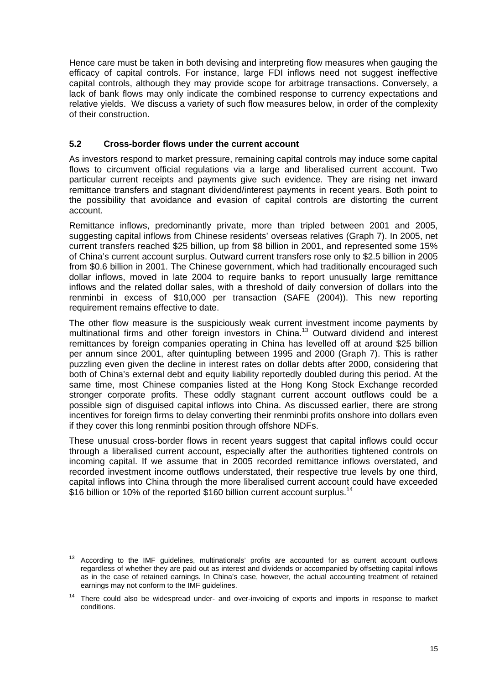Hence care must be taken in both devising and interpreting flow measures when gauging the efficacy of capital controls. For instance, large FDI inflows need not suggest ineffective capital controls, although they may provide scope for arbitrage transactions. Conversely, a lack of bank flows may only indicate the combined response to currency expectations and relative yields. We discuss a variety of such flow measures below, in order of the complexity of their construction.

## **5.2 Cross-border flows under the current account**

As investors respond to market pressure, remaining capital controls may induce some capital flows to circumvent official regulations via a large and liberalised current account. Two particular current receipts and payments give such evidence. They are rising net inward remittance transfers and stagnant dividend/interest payments in recent years. Both point to the possibility that avoidance and evasion of capital controls are distorting the current account.

Remittance inflows, predominantly private, more than tripled between 2001 and 2005, suggesting capital inflows from Chinese residents' overseas relatives (Graph 7). In 2005, net current transfers reached \$25 billion, up from \$8 billion in 2001, and represented some 15% of China's current account surplus. Outward current transfers rose only to \$2.5 billion in 2005 from \$0.6 billion in 2001. The Chinese government, which had traditionally encouraged such dollar inflows, moved in late 2004 to require banks to report unusually large remittance inflows and the related dollar sales, with a threshold of daily conversion of dollars into the renminbi in excess of \$10,000 per transaction (SAFE (2004)). This new reporting requirement remains effective to date.

The other flow measure is the suspiciously weak current investment income payments by multinational firms and other foreign investors in China.<sup>13</sup> Outward dividend and interest remittances by foreign companies operating in China has levelled off at around \$25 billion per annum since 2001, after quintupling between 1995 and 2000 (Graph 7). This is rather puzzling even given the decline in interest rates on dollar debts after 2000, considering that both of China's external debt and equity liability reportedly doubled during this period. At the same time, most Chinese companies listed at the Hong Kong Stock Exchange recorded stronger corporate profits. These oddly stagnant current account outflows could be a possible sign of disguised capital inflows into China. As discussed earlier, there are strong incentives for foreign firms to delay converting their renminbi profits onshore into dollars even if they cover this long renminbi position through offshore NDFs.

These unusual cross-border flows in recent years suggest that capital inflows could occur through a liberalised current account, especially after the authorities tightened controls on incoming capital. If we assume that in 2005 recorded remittance inflows overstated, and recorded investment income outflows understated, their respective true levels by one third, capital inflows into China through the more liberalised current account could have exceeded \$16 billion or 10% of the reported \$160 billion current account surplus.<sup>14</sup>

<sup>&</sup>lt;sup>13</sup> According to the IMF guidelines, multinationals' profits are accounted for as current account outflows regardless of whether they are paid out as interest and dividends or accompanied by offsetting capital inflows as in the case of retained earnings. In China's case, however, the actual accounting treatment of retained earnings may not conform to the IMF guidelines.

<sup>&</sup>lt;sup>14</sup> There could also be widespread under- and over-invoicing of exports and imports in response to market conditions.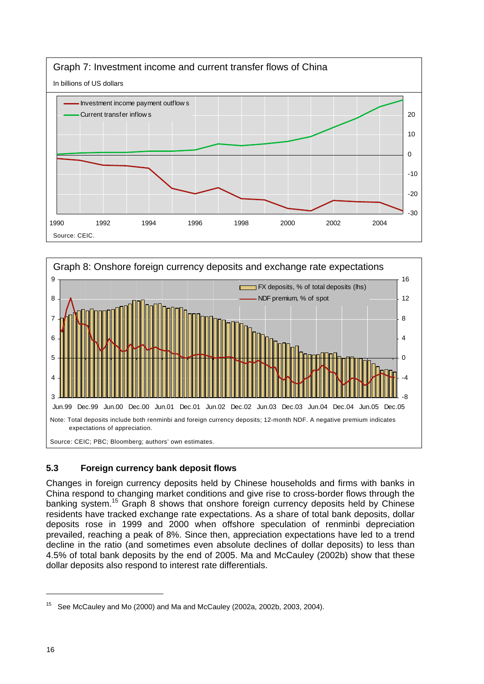



## **5.3 Foreign currency bank deposit flows**

Changes in foreign currency deposits held by Chinese households and firms with banks in China respond to changing market conditions and give rise to cross-border flows through the banking system.<sup>15</sup> Graph 8 shows that onshore foreign currency deposits held by Chinese residents have tracked exchange rate expectations. As a share of total bank deposits, dollar deposits rose in 1999 and 2000 when offshore speculation of renminbi depreciation prevailed, reaching a peak of 8%. Since then, appreciation expectations have led to a trend decline in the ratio (and sometimes even absolute declines of dollar deposits) to less than 4.5% of total bank deposits by the end of 2005. Ma and McCauley (2002b) show that these dollar deposits also respond to interest rate differentials.

 $15$  See McCauley and Mo (2000) and Ma and McCauley (2002a, 2002b, 2003, 2004).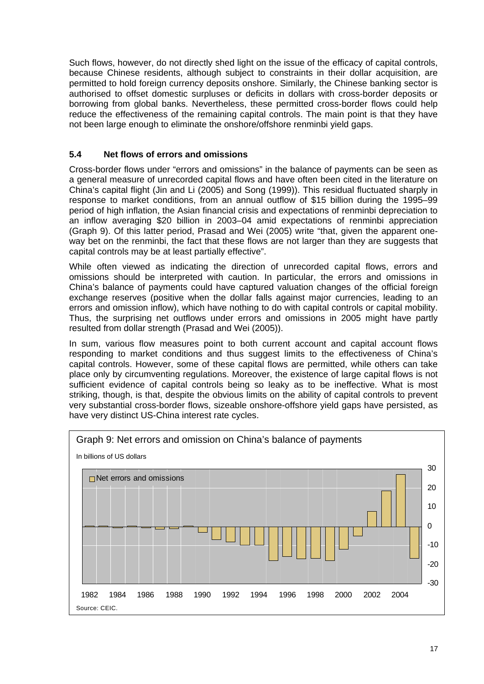Such flows, however, do not directly shed light on the issue of the efficacy of capital controls, because Chinese residents, although subject to constraints in their dollar acquisition, are permitted to hold foreign currency deposits onshore. Similarly, the Chinese banking sector is authorised to offset domestic surpluses or deficits in dollars with cross-border deposits or borrowing from global banks. Nevertheless, these permitted cross-border flows could help reduce the effectiveness of the remaining capital controls. The main point is that they have not been large enough to eliminate the onshore/offshore renminbi yield gaps.

## **5.4 Net flows of errors and omissions**

Cross-border flows under "errors and omissions" in the balance of payments can be seen as a general measure of unrecorded capital flows and have often been cited in the literature on China's capital flight (Jin and Li (2005) and Song (1999)). This residual fluctuated sharply in response to market conditions, from an annual outflow of \$15 billion during the 1995–99 period of high inflation, the Asian financial crisis and expectations of renminbi depreciation to an inflow averaging \$20 billion in 2003–04 amid expectations of renminbi appreciation (Graph 9). Of this latter period, Prasad and Wei (2005) write "that, given the apparent oneway bet on the renminbi, the fact that these flows are not larger than they are suggests that capital controls may be at least partially effective".

While often viewed as indicating the direction of unrecorded capital flows, errors and omissions should be interpreted with caution. In particular, the errors and omissions in China's balance of payments could have captured valuation changes of the official foreign exchange reserves (positive when the dollar falls against major currencies, leading to an errors and omission inflow), which have nothing to do with capital controls or capital mobility. Thus, the surprising net outflows under errors and omissions in 2005 might have partly resulted from dollar strength (Prasad and Wei (2005)).

In sum, various flow measures point to both current account and capital account flows responding to market conditions and thus suggest limits to the effectiveness of China's capital controls. However, some of these capital flows are permitted, while others can take place only by circumventing regulations. Moreover, the existence of large capital flows is not sufficient evidence of capital controls being so leaky as to be ineffective. What is most striking, though, is that, despite the obvious limits on the ability of capital controls to prevent very substantial cross-border flows, sizeable onshore-offshore yield gaps have persisted, as have very distinct US-China interest rate cycles.

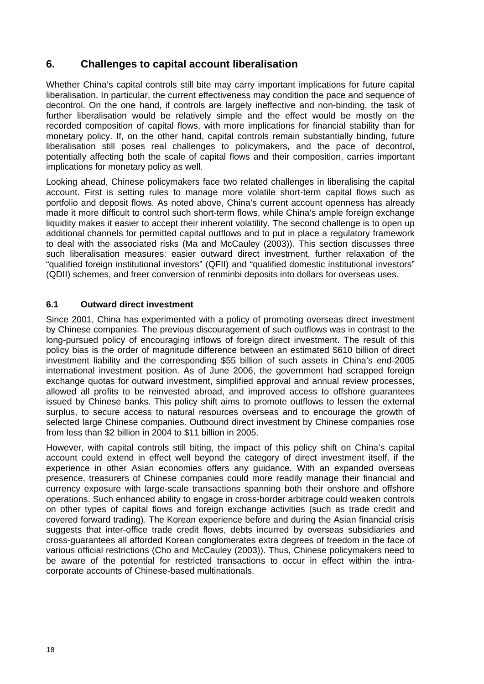## **6. Challenges to capital account liberalisation**

Whether China's capital controls still bite may carry important implications for future capital liberalisation. In particular, the current effectiveness may condition the pace and sequence of decontrol. On the one hand, if controls are largely ineffective and non-binding, the task of further liberalisation would be relatively simple and the effect would be mostly on the recorded composition of capital flows, with more implications for financial stability than for monetary policy. If, on the other hand, capital controls remain substantially binding, future liberalisation still poses real challenges to policymakers, and the pace of decontrol, potentially affecting both the scale of capital flows and their composition, carries important implications for monetary policy as well.

Looking ahead, Chinese policymakers face two related challenges in liberalising the capital account. First is setting rules to manage more volatile short-term capital flows such as portfolio and deposit flows. As noted above, China's current account openness has already made it more difficult to control such short-term flows, while China's ample foreign exchange liquidity makes it easier to accept their inherent volatility. The second challenge is to open up additional channels for permitted capital outflows and to put in place a regulatory framework to deal with the associated risks (Ma and McCauley (2003)). This section discusses three such liberalisation measures: easier outward direct investment, further relaxation of the "qualified foreign institutional investors" (QFII) and "qualified domestic institutional investors" (QDII) schemes, and freer conversion of renminbi deposits into dollars for overseas uses.

## **6.1 Outward direct investment**

Since 2001, China has experimented with a policy of promoting overseas direct investment by Chinese companies. The previous discouragement of such outflows was in contrast to the long-pursued policy of encouraging inflows of foreign direct investment. The result of this policy bias is the order of magnitude difference between an estimated \$610 billion of direct investment liability and the corresponding \$55 billion of such assets in China's end-2005 international investment position. As of June 2006, the government had scrapped foreign exchange quotas for outward investment, simplified approval and annual review processes, allowed all profits to be reinvested abroad, and improved access to offshore guarantees issued by Chinese banks. This policy shift aims to promote outflows to lessen the external surplus, to secure access to natural resources overseas and to encourage the growth of selected large Chinese companies. Outbound direct investment by Chinese companies rose from less than \$2 billion in 2004 to \$11 billion in 2005.

However, with capital controls still biting, the impact of this policy shift on China's capital account could extend in effect well beyond the category of direct investment itself, if the experience in other Asian economies offers any guidance. With an expanded overseas presence, treasurers of Chinese companies could more readily manage their financial and currency exposure with large-scale transactions spanning both their onshore and offshore operations. Such enhanced ability to engage in cross-border arbitrage could weaken controls on other types of capital flows and foreign exchange activities (such as trade credit and covered forward trading). The Korean experience before and during the Asian financial crisis suggests that inter-office trade credit flows, debts incurred by overseas subsidiaries and cross-guarantees all afforded Korean conglomerates extra degrees of freedom in the face of various official restrictions (Cho and McCauley (2003)). Thus, Chinese policymakers need to be aware of the potential for restricted transactions to occur in effect within the intracorporate accounts of Chinese-based multinationals.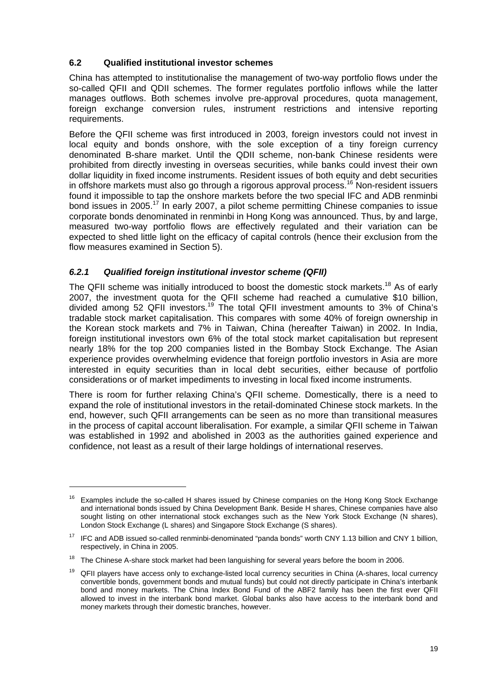## **6.2 Qualified institutional investor schemes**

China has attempted to institutionalise the management of two-way portfolio flows under the so-called QFII and QDII schemes. The former regulates portfolio inflows while the latter manages outflows. Both schemes involve pre-approval procedures, quota management, foreign exchange conversion rules, instrument restrictions and intensive reporting requirements.

Before the QFII scheme was first introduced in 2003, foreign investors could not invest in local equity and bonds onshore, with the sole exception of a tiny foreign currency denominated B-share market. Until the QDII scheme, non-bank Chinese residents were prohibited from directly investing in overseas securities, while banks could invest their own dollar liquidity in fixed income instruments. Resident issues of both equity and debt securities in offshore markets must also go through a rigorous approval process.<sup>16</sup> Non-resident issuers found it impossible to tap the onshore markets before the two special IFC and ADB renminbi bond issues in 2005.<sup>17</sup> In early 2007, a pilot scheme permitting Chinese companies to issue corporate bonds denominated in renminbi in Hong Kong was announced. Thus, by and large, measured two-way portfolio flows are effectively regulated and their variation can be expected to shed little light on the efficacy of capital controls (hence their exclusion from the flow measures examined in Section 5).

## *6.2.1 Qualified foreign institutional investor scheme (QFII)*

1

The QFII scheme was initially introduced to boost the domestic stock markets.<sup>18</sup> As of early 2007, the investment quota for the QFII scheme had reached a cumulative \$10 billion, divided among 52 QFII investors.19 The total QFII investment amounts to 3% of China's tradable stock market capitalisation. This compares with some 40% of foreign ownership in the Korean stock markets and 7% in Taiwan, China (hereafter Taiwan) in 2002. In India, foreign institutional investors own 6% of the total stock market capitalisation but represent nearly 18% for the top 200 companies listed in the Bombay Stock Exchange. The Asian experience provides overwhelming evidence that foreign portfolio investors in Asia are more interested in equity securities than in local debt securities, either because of portfolio considerations or of market impediments to investing in local fixed income instruments.

There is room for further relaxing China's QFII scheme. Domestically, there is a need to expand the role of institutional investors in the retail-dominated Chinese stock markets. In the end, however, such QFII arrangements can be seen as no more than transitional measures in the process of capital account liberalisation. For example, a similar QFII scheme in Taiwan was established in 1992 and abolished in 2003 as the authorities gained experience and confidence, not least as a result of their large holdings of international reserves.

<sup>&</sup>lt;sup>16</sup> Examples include the so-called H shares issued by Chinese companies on the Hong Kong Stock Exchange and international bonds issued by China Development Bank. Beside H shares, Chinese companies have also sought listing on other international stock exchanges such as the New York Stock Exchange (N shares), London Stock Exchange (L shares) and Singapore Stock Exchange (S shares).

<sup>&</sup>lt;sup>17</sup> IFC and ADB issued so-called renminbi-denominated "panda bonds" worth CNY 1.13 billion and CNY 1 billion, respectively, in China in 2005.

 $18$  The Chinese A-share stock market had been languishing for several years before the boom in 2006.

 $19$  QFII players have access only to exchange-listed local currency securities in China (A-shares, local currency convertible bonds, government bonds and mutual funds) but could not directly participate in China's interbank bond and money markets. The China Index Bond Fund of the ABF2 family has been the first ever QFII allowed to invest in the interbank bond market. Global banks also have access to the interbank bond and money markets through their domestic branches, however.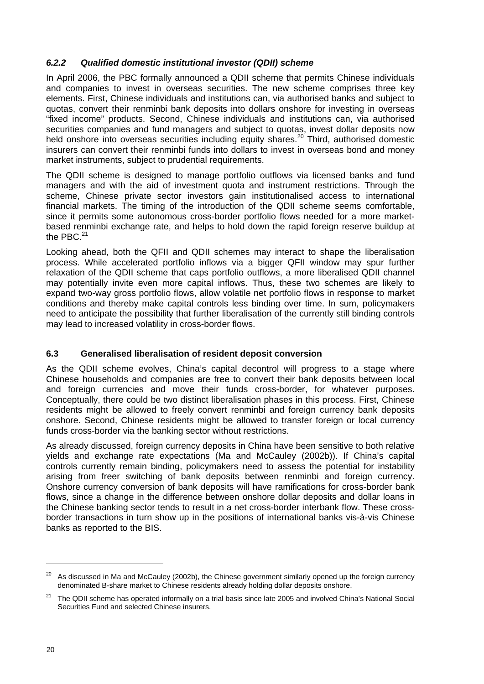## *6.2.2 Qualified domestic institutional investor (QDII) scheme*

In April 2006, the PBC formally announced a QDII scheme that permits Chinese individuals and companies to invest in overseas securities. The new scheme comprises three key elements. First, Chinese individuals and institutions can, via authorised banks and subject to quotas, convert their renminbi bank deposits into dollars onshore for investing in overseas "fixed income" products. Second, Chinese individuals and institutions can, via authorised securities companies and fund managers and subject to quotas, invest dollar deposits now held onshore into overseas securities including equity shares.<sup>20</sup> Third, authorised domestic insurers can convert their renminbi funds into dollars to invest in overseas bond and money market instruments, subject to prudential requirements.

The QDII scheme is designed to manage portfolio outflows via licensed banks and fund managers and with the aid of investment quota and instrument restrictions. Through the scheme, Chinese private sector investors gain institutionalised access to international financial markets. The timing of the introduction of the QDII scheme seems comfortable, since it permits some autonomous cross-border portfolio flows needed for a more marketbased renminbi exchange rate, and helps to hold down the rapid foreign reserve buildup at the PBC.<sup>21</sup>

Looking ahead, both the QFII and QDII schemes may interact to shape the liberalisation process. While accelerated portfolio inflows via a bigger QFII window may spur further relaxation of the QDII scheme that caps portfolio outflows, a more liberalised QDII channel may potentially invite even more capital inflows. Thus, these two schemes are likely to expand two-way gross portfolio flows, allow volatile net portfolio flows in response to market conditions and thereby make capital controls less binding over time. In sum, policymakers need to anticipate the possibility that further liberalisation of the currently still binding controls may lead to increased volatility in cross-border flows.

#### **6.3 Generalised liberalisation of resident deposit conversion**

As the QDII scheme evolves, China's capital decontrol will progress to a stage where Chinese households and companies are free to convert their bank deposits between local and foreign currencies and move their funds cross-border, for whatever purposes. Conceptually, there could be two distinct liberalisation phases in this process. First, Chinese residents might be allowed to freely convert renminbi and foreign currency bank deposits onshore. Second, Chinese residents might be allowed to transfer foreign or local currency funds cross-border via the banking sector without restrictions.

As already discussed, foreign currency deposits in China have been sensitive to both relative yields and exchange rate expectations (Ma and McCauley (2002b)). If China's capital controls currently remain binding, policymakers need to assess the potential for instability arising from freer switching of bank deposits between renminbi and foreign currency. Onshore currency conversion of bank deposits will have ramifications for cross-border bank flows, since a change in the difference between onshore dollar deposits and dollar loans in the Chinese banking sector tends to result in a net cross-border interbank flow. These crossborder transactions in turn show up in the positions of international banks vis-à-vis Chinese banks as reported to the BIS.

<sup>&</sup>lt;sup>20</sup> As discussed in Ma and McCauley (2002b), the Chinese government similarly opened up the foreign currency denominated B-share market to Chinese residents already holding dollar deposits onshore.

 $21$  The QDII scheme has operated informally on a trial basis since late 2005 and involved China's National Social Securities Fund and selected Chinese insurers.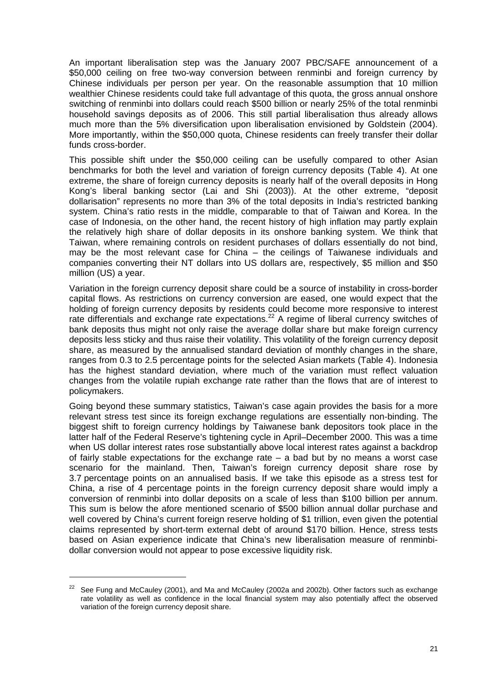An important liberalisation step was the January 2007 PBC/SAFE announcement of a \$50,000 ceiling on free two-way conversion between renminbi and foreign currency by Chinese individuals per person per year. On the reasonable assumption that 10 million wealthier Chinese residents could take full advantage of this quota, the gross annual onshore switching of renminbi into dollars could reach \$500 billion or nearly 25% of the total renminbi household savings deposits as of 2006. This still partial liberalisation thus already allows much more than the 5% diversification upon liberalisation envisioned by Goldstein (2004). More importantly, within the \$50,000 quota, Chinese residents can freely transfer their dollar funds cross-border.

This possible shift under the \$50,000 ceiling can be usefully compared to other Asian benchmarks for both the level and variation of foreign currency deposits (Table 4). At one extreme, the share of foreign currency deposits is nearly half of the overall deposits in Hong Kong's liberal banking sector (Lai and Shi (2003)). At the other extreme, "deposit dollarisation" represents no more than 3% of the total deposits in India's restricted banking system. China's ratio rests in the middle, comparable to that of Taiwan and Korea. In the case of Indonesia, on the other hand, the recent history of high inflation may partly explain the relatively high share of dollar deposits in its onshore banking system. We think that Taiwan, where remaining controls on resident purchases of dollars essentially do not bind, may be the most relevant case for China – the ceilings of Taiwanese individuals and companies converting their NT dollars into US dollars are, respectively, \$5 million and \$50 million (US) a year.

Variation in the foreign currency deposit share could be a source of instability in cross-border capital flows. As restrictions on currency conversion are eased, one would expect that the holding of foreign currency deposits by residents could become more responsive to interest rate differentials and exchange rate expectations.<sup>22</sup> A regime of liberal currency switches of bank deposits thus might not only raise the average dollar share but make foreign currency deposits less sticky and thus raise their volatility. This volatility of the foreign currency deposit share, as measured by the annualised standard deviation of monthly changes in the share, ranges from 0.3 to 2.5 percentage points for the selected Asian markets (Table 4). Indonesia has the highest standard deviation, where much of the variation must reflect valuation changes from the volatile rupiah exchange rate rather than the flows that are of interest to policymakers.

Going beyond these summary statistics, Taiwan's case again provides the basis for a more relevant stress test since its foreign exchange regulations are essentially non-binding. The biggest shift to foreign currency holdings by Taiwanese bank depositors took place in the latter half of the Federal Reserve's tightening cycle in April–December 2000. This was a time when US dollar interest rates rose substantially above local interest rates against a backdrop of fairly stable expectations for the exchange rate – a bad but by no means a worst case scenario for the mainland. Then, Taiwan's foreign currency deposit share rose by 3.7 percentage points on an annualised basis. If we take this episode as a stress test for China, a rise of 4 percentage points in the foreign currency deposit share would imply a conversion of renminbi into dollar deposits on a scale of less than \$100 billion per annum. This sum is below the afore mentioned scenario of \$500 billion annual dollar purchase and well covered by China's current foreign reserve holding of \$1 trillion, even given the potential claims represented by short-term external debt of around \$170 billion. Hence, stress tests based on Asian experience indicate that China's new liberalisation measure of renminbidollar conversion would not appear to pose excessive liquidity risk.

 $22$  See Fung and McCauley (2001), and Ma and McCauley (2002a and 2002b). Other factors such as exchange rate volatility as well as confidence in the local financial system may also potentially affect the observed variation of the foreign currency deposit share.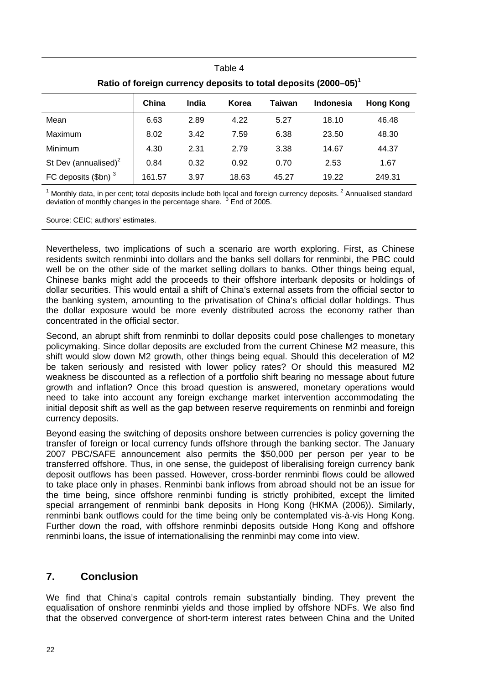| Ratio of foreign currency deposits to total deposits (2000-05) <sup>1</sup> |        |       |       |        |                  |                  |
|-----------------------------------------------------------------------------|--------|-------|-------|--------|------------------|------------------|
|                                                                             | China  | India | Korea | Taiwan | <b>Indonesia</b> | <b>Hong Kong</b> |
| Mean                                                                        | 6.63   | 2.89  | 4.22  | 5.27   | 18.10            | 46.48            |
| Maximum                                                                     | 8.02   | 3.42  | 7.59  | 6.38   | 23.50            | 48.30            |
| Minimum                                                                     | 4.30   | 2.31  | 2.79  | 3.38   | 14.67            | 44.37            |
| St Dev (annualised) <sup>2</sup>                                            | 0.84   | 0.32  | 0.92  | 0.70   | 2.53             | 1.67             |
| FC deposits $(\$bn)^3$                                                      | 161.57 | 3.97  | 18.63 | 45.27  | 19.22            | 249.31           |

Table 4

1 Monthly data, in per cent; total deposits include both local and foreign currency deposits.<sup>2</sup> Annualised standard deviation of monthly changes in the percentage share.  $3$  End of 2005.

Source: CEIC; authors' estimates.

Nevertheless, two implications of such a scenario are worth exploring. First, as Chinese residents switch renminbi into dollars and the banks sell dollars for renminbi, the PBC could well be on the other side of the market selling dollars to banks. Other things being equal, Chinese banks might add the proceeds to their offshore interbank deposits or holdings of dollar securities. This would entail a shift of China's external assets from the official sector to the banking system, amounting to the privatisation of China's official dollar holdings. Thus the dollar exposure would be more evenly distributed across the economy rather than concentrated in the official sector.

Second, an abrupt shift from renminbi to dollar deposits could pose challenges to monetary policymaking. Since dollar deposits are excluded from the current Chinese M2 measure, this shift would slow down M2 growth, other things being equal. Should this deceleration of M2 be taken seriously and resisted with lower policy rates? Or should this measured M2 weakness be discounted as a reflection of a portfolio shift bearing no message about future growth and inflation? Once this broad question is answered, monetary operations would need to take into account any foreign exchange market intervention accommodating the initial deposit shift as well as the gap between reserve requirements on renminbi and foreign currency deposits.

Beyond easing the switching of deposits onshore between currencies is policy governing the transfer of foreign or local currency funds offshore through the banking sector. The January 2007 PBC/SAFE announcement also permits the \$50,000 per person per year to be transferred offshore. Thus, in one sense, the guidepost of liberalising foreign currency bank deposit outflows has been passed. However, cross-border renminbi flows could be allowed to take place only in phases. Renminbi bank inflows from abroad should not be an issue for the time being, since offshore renminbi funding is strictly prohibited, except the limited special arrangement of renminbi bank deposits in Hong Kong (HKMA (2006)). Similarly, renminbi bank outflows could for the time being only be contemplated vis-à-vis Hong Kong. Further down the road, with offshore renminbi deposits outside Hong Kong and offshore renminbi loans, the issue of internationalising the renminbi may come into view.

## **7. Conclusion**

We find that China's capital controls remain substantially binding. They prevent the equalisation of onshore renminbi yields and those implied by offshore NDFs. We also find that the observed convergence of short-term interest rates between China and the United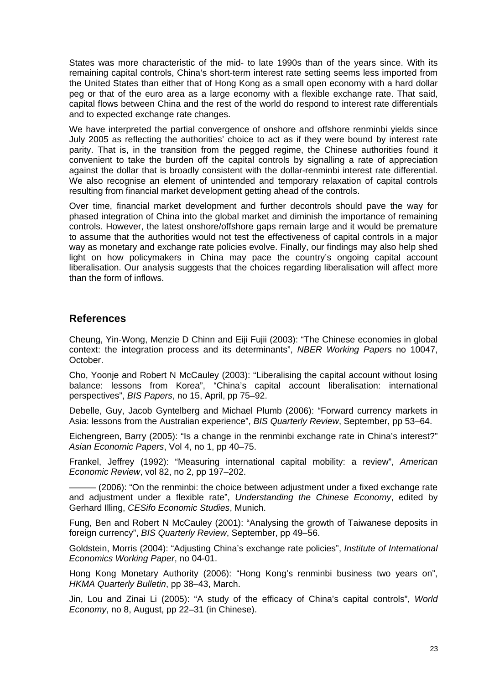States was more characteristic of the mid- to late 1990s than of the years since. With its remaining capital controls, China's short-term interest rate setting seems less imported from the United States than either that of Hong Kong as a small open economy with a hard dollar peg or that of the euro area as a large economy with a flexible exchange rate. That said, capital flows between China and the rest of the world do respond to interest rate differentials and to expected exchange rate changes.

We have interpreted the partial convergence of onshore and offshore renminbi yields since July 2005 as reflecting the authorities' choice to act as if they were bound by interest rate parity. That is, in the transition from the pegged regime, the Chinese authorities found it convenient to take the burden off the capital controls by signalling a rate of appreciation against the dollar that is broadly consistent with the dollar-renminbi interest rate differential. We also recognise an element of unintended and temporary relaxation of capital controls resulting from financial market development getting ahead of the controls.

Over time, financial market development and further decontrols should pave the way for phased integration of China into the global market and diminish the importance of remaining controls. However, the latest onshore/offshore gaps remain large and it would be premature to assume that the authorities would not test the effectiveness of capital controls in a major way as monetary and exchange rate policies evolve. Finally, our findings may also help shed light on how policymakers in China may pace the country's ongoing capital account liberalisation. Our analysis suggests that the choices regarding liberalisation will affect more than the form of inflows.

## **References**

Cheung, Yin-Wong, Menzie D Chinn and Eiji Fujii (2003): "The Chinese economies in global context: the integration process and its determinants", *NBER Working Paper*s no 10047, October.

Cho, Yoonje and Robert N McCauley (2003): "Liberalising the capital account without losing balance: lessons from Korea", "China's capital account liberalisation: international perspectives", *BIS Papers*, no 15, April, pp 75–92.

Debelle, Guy, Jacob Gyntelberg and Michael Plumb (2006): "Forward currency markets in Asia: lessons from the Australian experience", *BIS Quarterly Review*, September, pp 53–64.

Eichengreen, Barry (2005): "Is a change in the renminbi exchange rate in China's interest?" *Asian Economic Papers*, Vol 4, no 1, pp 40–75.

Frankel, Jeffrey (1992): "Measuring international capital mobility: a review", *American Economic Review*, vol 82, no 2, pp 197–202.

- (2006): "On the renminbi: the choice between adjustment under a fixed exchange rate and adjustment under a flexible rate", *Understanding the Chinese Economy*, edited by Gerhard Illing, *CESifo Economic Studies*, Munich.

Fung, Ben and Robert N McCauley (2001): "Analysing the growth of Taiwanese deposits in foreign currency", *BIS Quarterly Review*, September, pp 49–56.

Goldstein, Morris (2004): "Adjusting China's exchange rate policies", *Institute of International Economics Working Paper*, no 04-01.

Hong Kong Monetary Authority (2006): "Hong Kong's renminbi business two years on", *HKMA Quarterly Bulletin*, pp 38–43, March.

Jin, Lou and Zinai Li (2005): "A study of the efficacy of China's capital controls", *World Economy*, no 8, August, pp 22–31 (in Chinese).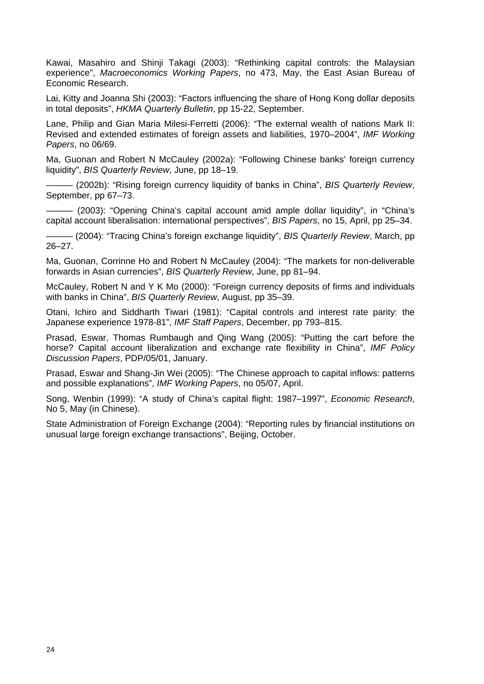Kawai, Masahiro and Shinji Takagi (2003): "Rethinking capital controls: the Malaysian experience", *Macroeconomics Working Papers*, no 473, May, the East Asian Bureau of Economic Research.

Lai, Kitty and Joanna Shi (2003): "Factors influencing the share of Hong Kong dollar deposits in total deposits", *HKMA Quarterly Bulletin*, pp 15-22, September.

Lane, Philip and Gian Maria Milesi-Ferretti (2006): "The external wealth of nations Mark II: Revised and extended estimates of foreign assets and liabilities, 1970–2004", *IMF Working Papers*, no 06/69.

Ma, Guonan and Robert N McCauley (2002a): "Following Chinese banks' foreign currency liquidity", *BIS Quarterly Review*, June, pp 18–19.

——— (2002b): "Rising foreign currency liquidity of banks in China", *BIS Quarterly Review*, September, pp 67–73.

——— (2003): "Opening China's capital account amid ample dollar liquidity", in "China's capital account liberalisation: international perspectives", *BIS Papers*, no 15, April, pp 25–34.

——— (2004): "Tracing China's foreign exchange liquidity", *BIS Quarterly Review*, March, pp 26–27.

Ma, Guonan, Corrinne Ho and Robert N McCauley (2004): "The markets for non-deliverable forwards in Asian currencies", *BIS Quarterly Review*, June, pp 81–94.

McCauley, Robert N and Y K Mo (2000): "Foreign currency deposits of firms and individuals with banks in China", *BIS Quarterly Review*, August, pp 35–39.

Otani, Ichiro and Siddharth Tiwari (1981): "Capital controls and interest rate parity: the Japanese experience 1978-81", *IMF Staff Papers*, December, pp 793–815.

Prasad, Eswar, Thomas Rumbaugh and Qing Wang (2005): "Putting the cart before the horse? Capital account liberalization and exchange rate flexibility in China", *IMF Policy Discussion Papers*, PDP/05/01, January.

Prasad, Eswar and Shang-Jin Wei (2005): "The Chinese approach to capital inflows: patterns and possible explanations", *IMF Working Papers*, no 05/07, April.

Song, Wenbin (1999): "A study of China's capital flight: 1987–1997", *Economic Research*, No 5, May (in Chinese).

State Administration of Foreign Exchange (2004): "Reporting rules by financial institutions on unusual large foreign exchange transactions", Beijing, October.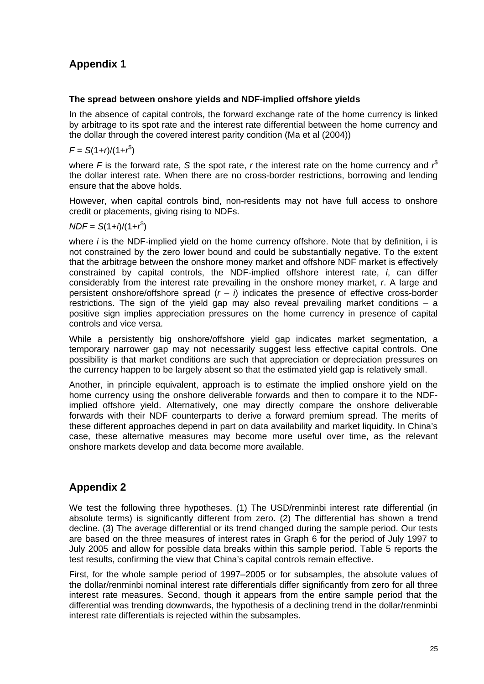## **Appendix 1**

## **The spread between onshore yields and NDF-implied offshore yields**

In the absence of capital controls, the forward exchange rate of the home currency is linked by arbitrage to its spot rate and the interest rate differential between the home currency and the dollar through the covered interest parity condition (Ma et al (2004))

 $F = S(1+r)/(1+r^2)$ 

where F is the forward rate, S the spot rate, r the interest rate on the home currency and r<sup>§</sup> the dollar interest rate. When there are no cross-border restrictions, borrowing and lending ensure that the above holds.

However, when capital controls bind, non-residents may not have full access to onshore credit or placements, giving rising to NDFs.

 $NDF = S(1+i)/(1+i^5)$ 

where *i* is the NDF-implied yield on the home currency offshore. Note that by definition, i is not constrained by the zero lower bound and could be substantially negative. To the extent that the arbitrage between the onshore money market and offshore NDF market is effectively constrained by capital controls, the NDF-implied offshore interest rate, *i*, can differ considerably from the interest rate prevailing in the onshore money market, *r*. A large and persistent onshore/offshore spread  $(r - i)$  indicates the presence of effective cross-border restrictions. The sign of the yield gap may also reveal prevailing market conditions – a positive sign implies appreciation pressures on the home currency in presence of capital controls and vice versa.

While a persistently big onshore/offshore yield gap indicates market segmentation, a temporary narrower gap may not necessarily suggest less effective capital controls. One possibility is that market conditions are such that appreciation or depreciation pressures on the currency happen to be largely absent so that the estimated yield gap is relatively small.

Another, in principle equivalent, approach is to estimate the implied onshore yield on the home currency using the onshore deliverable forwards and then to compare it to the NDFimplied offshore yield. Alternatively, one may directly compare the onshore deliverable forwards with their NDF counterparts to derive a forward premium spread. The merits of these different approaches depend in part on data availability and market liquidity. In China's case, these alternative measures may become more useful over time, as the relevant onshore markets develop and data become more available.

## **Appendix 2**

We test the following three hypotheses. (1) The USD/renminbi interest rate differential (in absolute terms) is significantly different from zero. (2) The differential has shown a trend decline. (3) The average differential or its trend changed during the sample period. Our tests are based on the three measures of interest rates in Graph 6 for the period of July 1997 to July 2005 and allow for possible data breaks within this sample period. Table 5 reports the test results, confirming the view that China's capital controls remain effective.

First, for the whole sample period of 1997–2005 or for subsamples, the absolute values of the dollar/renminbi nominal interest rate differentials differ significantly from zero for all three interest rate measures. Second, though it appears from the entire sample period that the differential was trending downwards, the hypothesis of a declining trend in the dollar/renminbi interest rate differentials is rejected within the subsamples.